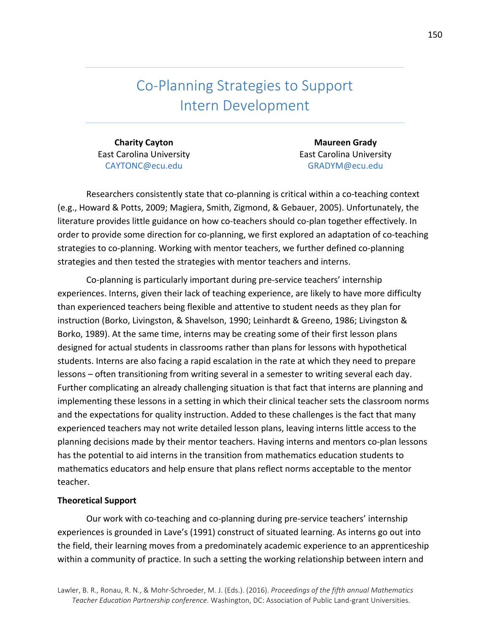Co-Planning Strategies to Support Intern Development 

**Charity Cayton** East Carolina University CAYTONC@ecu.edu

**Maureen Grady** East Carolina University GRADYM@ecu.edu

Researchers consistently state that co-planning is critical within a co-teaching context (e.g., Howard & Potts, 2009; Magiera, Smith, Zigmond, & Gebauer, 2005). Unfortunately, the literature provides little guidance on how co-teachers should co-plan together effectively. In order to provide some direction for co-planning, we first explored an adaptation of co-teaching strategies to co-planning. Working with mentor teachers, we further defined co-planning strategies and then tested the strategies with mentor teachers and interns.

Co-planning is particularly important during pre-service teachers' internship experiences. Interns, given their lack of teaching experience, are likely to have more difficulty than experienced teachers being flexible and attentive to student needs as they plan for instruction (Borko, Livingston, & Shavelson, 1990; Leinhardt & Greeno, 1986; Livingston & Borko, 1989). At the same time, interns may be creating some of their first lesson plans designed for actual students in classrooms rather than plans for lessons with hypothetical students. Interns are also facing a rapid escalation in the rate at which they need to prepare lessons – often transitioning from writing several in a semester to writing several each day. Further complicating an already challenging situation is that fact that interns are planning and implementing these lessons in a setting in which their clinical teacher sets the classroom norms and the expectations for quality instruction. Added to these challenges is the fact that many experienced teachers may not write detailed lesson plans, leaving interns little access to the planning decisions made by their mentor teachers. Having interns and mentors co-plan lessons has the potential to aid interns in the transition from mathematics education students to mathematics educators and help ensure that plans reflect norms acceptable to the mentor teacher. 

#### **Theoretical Support**

Our work with co-teaching and co-planning during pre-service teachers' internship experiences is grounded in Lave's (1991) construct of situated learning. As interns go out into the field, their learning moves from a predominately academic experience to an apprenticeship within a community of practice. In such a setting the working relationship between intern and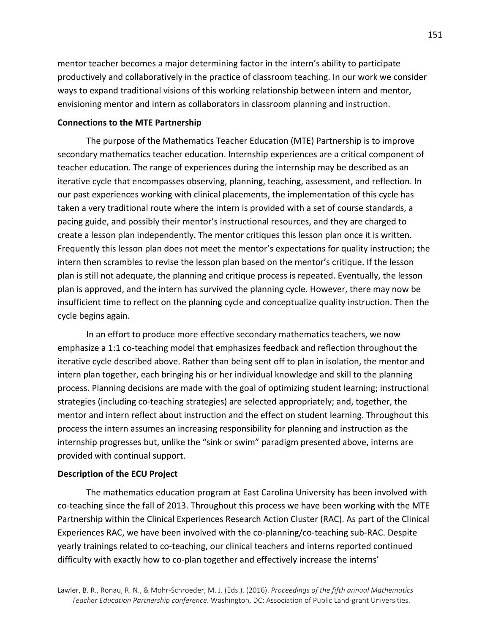mentor teacher becomes a major determining factor in the intern's ability to participate productively and collaboratively in the practice of classroom teaching. In our work we consider ways to expand traditional visions of this working relationship between intern and mentor, envisioning mentor and intern as collaborators in classroom planning and instruction.

### **Connections to the MTE Partnership**

The purpose of the Mathematics Teacher Education (MTE) Partnership is to improve secondary mathematics teacher education. Internship experiences are a critical component of teacher education. The range of experiences during the internship may be described as an iterative cycle that encompasses observing, planning, teaching, assessment, and reflection. In our past experiences working with clinical placements, the implementation of this cycle has taken a very traditional route where the intern is provided with a set of course standards, a pacing guide, and possibly their mentor's instructional resources, and they are charged to create a lesson plan independently. The mentor critiques this lesson plan once it is written. Frequently this lesson plan does not meet the mentor's expectations for quality instruction; the intern then scrambles to revise the lesson plan based on the mentor's critique. If the lesson plan is still not adequate, the planning and critique process is repeated. Eventually, the lesson plan is approved, and the intern has survived the planning cycle. However, there may now be insufficient time to reflect on the planning cycle and conceptualize quality instruction. Then the cycle begins again.

In an effort to produce more effective secondary mathematics teachers, we now emphasize a 1:1 co-teaching model that emphasizes feedback and reflection throughout the iterative cycle described above. Rather than being sent off to plan in isolation, the mentor and intern plan together, each bringing his or her individual knowledge and skill to the planning process. Planning decisions are made with the goal of optimizing student learning; instructional strategies (including co-teaching strategies) are selected appropriately; and, together, the mentor and intern reflect about instruction and the effect on student learning. Throughout this process the intern assumes an increasing responsibility for planning and instruction as the internship progresses but, unlike the "sink or swim" paradigm presented above, interns are provided with continual support.

### **Description of the ECU Project**

The mathematics education program at East Carolina University has been involved with co-teaching since the fall of 2013. Throughout this process we have been working with the MTE Partnership within the Clinical Experiences Research Action Cluster (RAC). As part of the Clinical Experiences RAC, we have been involved with the co-planning/co-teaching sub-RAC. Despite yearly trainings related to co-teaching, our clinical teachers and interns reported continued difficulty with exactly how to co-plan together and effectively increase the interns'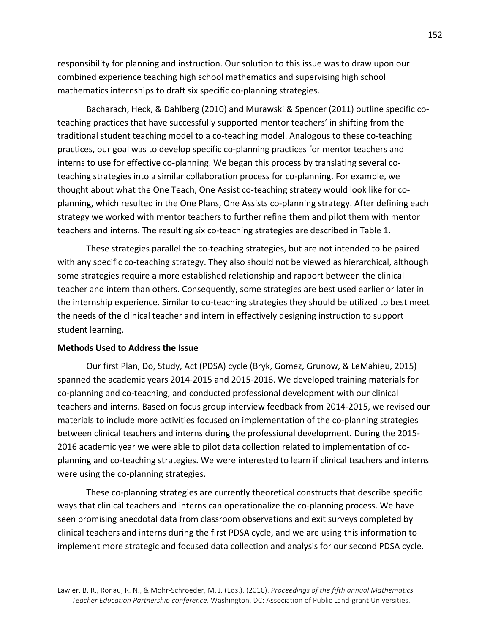responsibility for planning and instruction. Our solution to this issue was to draw upon our combined experience teaching high school mathematics and supervising high school mathematics internships to draft six specific co-planning strategies.

Bacharach, Heck, & Dahlberg (2010) and Murawski & Spencer (2011) outline specific coteaching practices that have successfully supported mentor teachers' in shifting from the traditional student teaching model to a co-teaching model. Analogous to these co-teaching practices, our goal was to develop specific co-planning practices for mentor teachers and interns to use for effective co-planning. We began this process by translating several coteaching strategies into a similar collaboration process for co-planning. For example, we thought about what the One Teach, One Assist co-teaching strategy would look like for coplanning, which resulted in the One Plans, One Assists co-planning strategy. After defining each strategy we worked with mentor teachers to further refine them and pilot them with mentor teachers and interns. The resulting six co-teaching strategies are described in Table 1.

These strategies parallel the co-teaching strategies, but are not intended to be paired with any specific co-teaching strategy. They also should not be viewed as hierarchical, although some strategies require a more established relationship and rapport between the clinical teacher and intern than others. Consequently, some strategies are best used earlier or later in the internship experience. Similar to co-teaching strategies they should be utilized to best meet the needs of the clinical teacher and intern in effectively designing instruction to support student learning.

## **Methods Used to Address the Issue**

Our first Plan, Do, Study, Act (PDSA) cycle (Bryk, Gomez, Grunow, & LeMahieu, 2015) spanned the academic years 2014-2015 and 2015-2016. We developed training materials for co-planning and co-teaching, and conducted professional development with our clinical teachers and interns. Based on focus group interview feedback from 2014-2015, we revised our materials to include more activities focused on implementation of the co-planning strategies between clinical teachers and interns during the professional development. During the 2015-2016 academic year we were able to pilot data collection related to implementation of coplanning and co-teaching strategies. We were interested to learn if clinical teachers and interns were using the co-planning strategies.

These co-planning strategies are currently theoretical constructs that describe specific ways that clinical teachers and interns can operationalize the co-planning process. We have seen promising anecdotal data from classroom observations and exit surveys completed by clinical teachers and interns during the first PDSA cycle, and we are using this information to implement more strategic and focused data collection and analysis for our second PDSA cycle.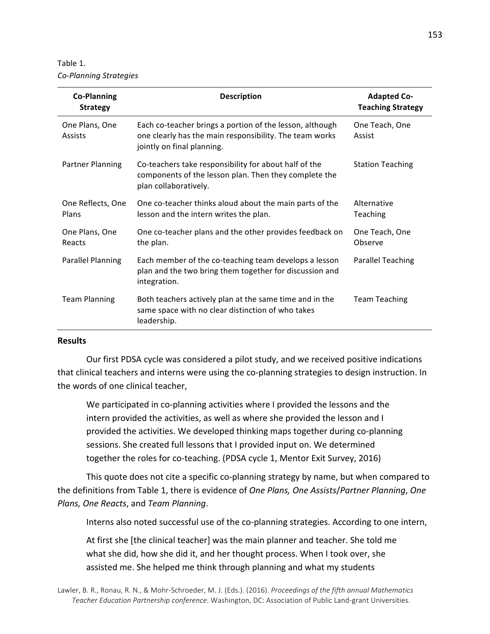Table 1. *Co-Planning Strategies*

| <b>Co-Planning</b><br><b>Strategy</b> | <b>Description</b>                                                                                                                                | <b>Adapted Co-</b><br><b>Teaching Strategy</b> |
|---------------------------------------|---------------------------------------------------------------------------------------------------------------------------------------------------|------------------------------------------------|
| One Plans, One<br><b>Assists</b>      | Each co-teacher brings a portion of the lesson, although<br>one clearly has the main responsibility. The team works<br>jointly on final planning. | One Teach, One<br>Assist                       |
| <b>Partner Planning</b>               | Co-teachers take responsibility for about half of the<br>components of the lesson plan. Then they complete the<br>plan collaboratively.           | <b>Station Teaching</b>                        |
| One Reflects, One<br>Plans            | One co-teacher thinks aloud about the main parts of the<br>lesson and the intern writes the plan.                                                 | Alternative<br><b>Teaching</b>                 |
| One Plans, One<br>Reacts              | One co-teacher plans and the other provides feedback on<br>the plan.                                                                              | One Teach, One<br>Observe                      |
| <b>Parallel Planning</b>              | Each member of the co-teaching team develops a lesson<br>plan and the two bring them together for discussion and<br>integration.                  | <b>Parallel Teaching</b>                       |
| <b>Team Planning</b>                  | Both teachers actively plan at the same time and in the<br>same space with no clear distinction of who takes<br>leadership.                       | <b>Team Teaching</b>                           |

#### **Results**

Our first PDSA cycle was considered a pilot study, and we received positive indications that clinical teachers and interns were using the co-planning strategies to design instruction. In the words of one clinical teacher,

We participated in co-planning activities where I provided the lessons and the intern provided the activities, as well as where she provided the lesson and I provided the activities. We developed thinking maps together during co-planning sessions. She created full lessons that I provided input on. We determined together the roles for co-teaching. (PDSA cycle 1, Mentor Exit Survey, 2016)

This quote does not cite a specific co-planning strategy by name, but when compared to the definitions from Table 1, there is evidence of *One Plans, One Assists/Partner Planning*, One *Plans, One Reacts*, and *Team Planning*.

Interns also noted successful use of the co-planning strategies. According to one intern,

At first she [the clinical teacher] was the main planner and teacher. She told me what she did, how she did it, and her thought process. When I took over, she assisted me. She helped me think through planning and what my students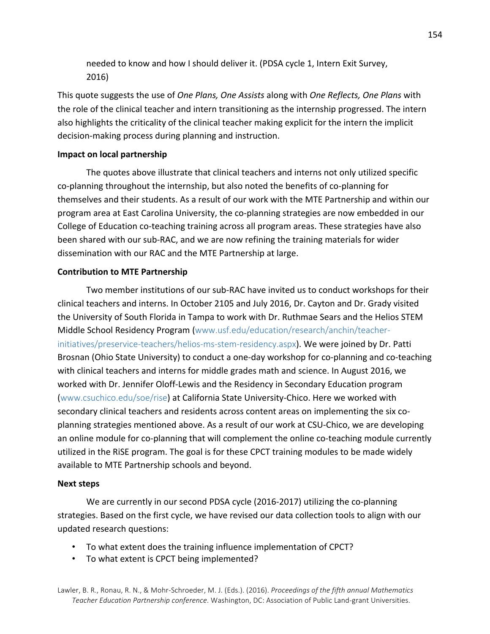needed to know and how I should deliver it. (PDSA cycle 1, Intern Exit Survey, 2016)

This quote suggests the use of *One Plans, One Assists* along with *One Reflects, One Plans* with the role of the clinical teacher and intern transitioning as the internship progressed. The intern also highlights the criticality of the clinical teacher making explicit for the intern the implicit decision-making process during planning and instruction.

# **Impact on local partnership**

The quotes above illustrate that clinical teachers and interns not only utilized specific co-planning throughout the internship, but also noted the benefits of co-planning for themselves and their students. As a result of our work with the MTE Partnership and within our program area at East Carolina University, the co-planning strategies are now embedded in our College of Education co-teaching training across all program areas. These strategies have also been shared with our sub-RAC, and we are now refining the training materials for wider dissemination with our RAC and the MTE Partnership at large.

# **Contribution to MTE Partnership**

Two member institutions of our sub-RAC have invited us to conduct workshops for their clinical teachers and interns. In October 2105 and July 2016, Dr. Cayton and Dr. Grady visited the University of South Florida in Tampa to work with Dr. Ruthmae Sears and the Helios STEM Middle School Residency Program (www.usf.edu/education/research/anchin/teacherinitiatives/preservice-teachers/helios-ms-stem-residency.aspx). We were joined by Dr. Patti Brosnan (Ohio State University) to conduct a one-day workshop for co-planning and co-teaching with clinical teachers and interns for middle grades math and science. In August 2016, we worked with Dr. Jennifer Oloff-Lewis and the Residency in Secondary Education program (www.csuchico.edu/soe/rise) at California State University-Chico. Here we worked with secondary clinical teachers and residents across content areas on implementing the six coplanning strategies mentioned above. As a result of our work at CSU-Chico, we are developing an online module for co-planning that will complement the online co-teaching module currently utilized in the RISE program. The goal is for these CPCT training modules to be made widely available to MTE Partnership schools and beyond.

## **Next steps**

We are currently in our second PDSA cycle (2016-2017) utilizing the co-planning strategies. Based on the first cycle, we have revised our data collection tools to align with our updated research questions:

- To what extent does the training influence implementation of CPCT?
- To what extent is CPCT being implemented?